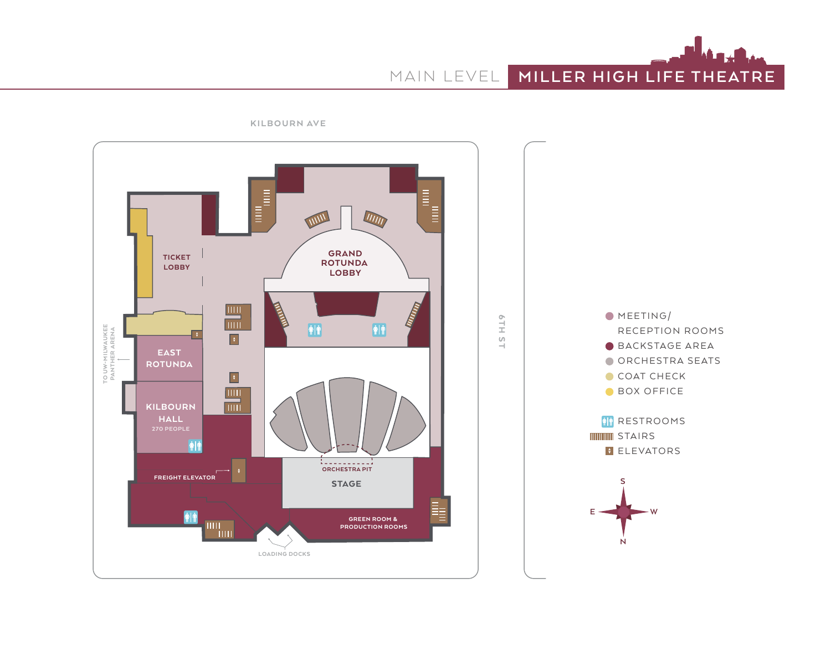MAIN LEVEL **MILLER HIGH LIFE THEATRE**



KILBOURN AVE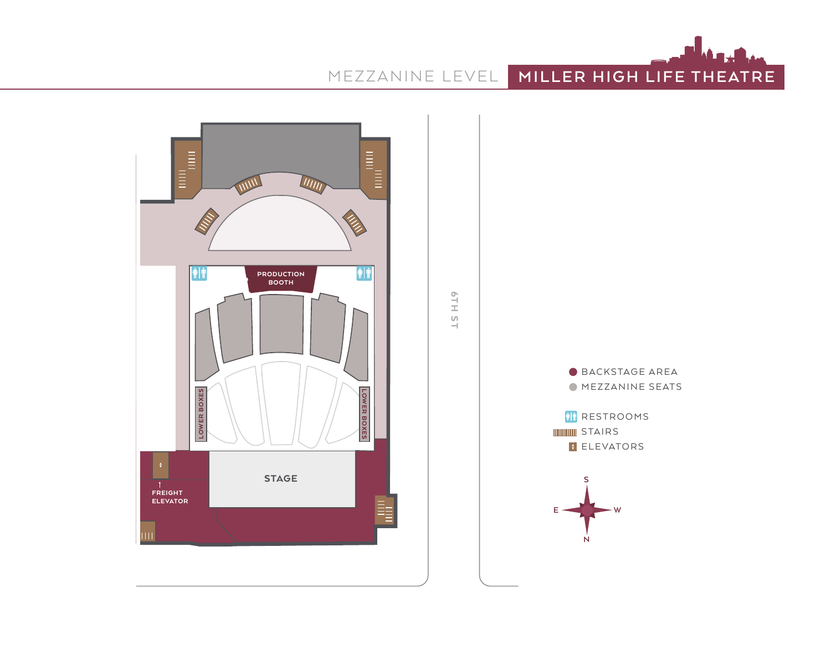



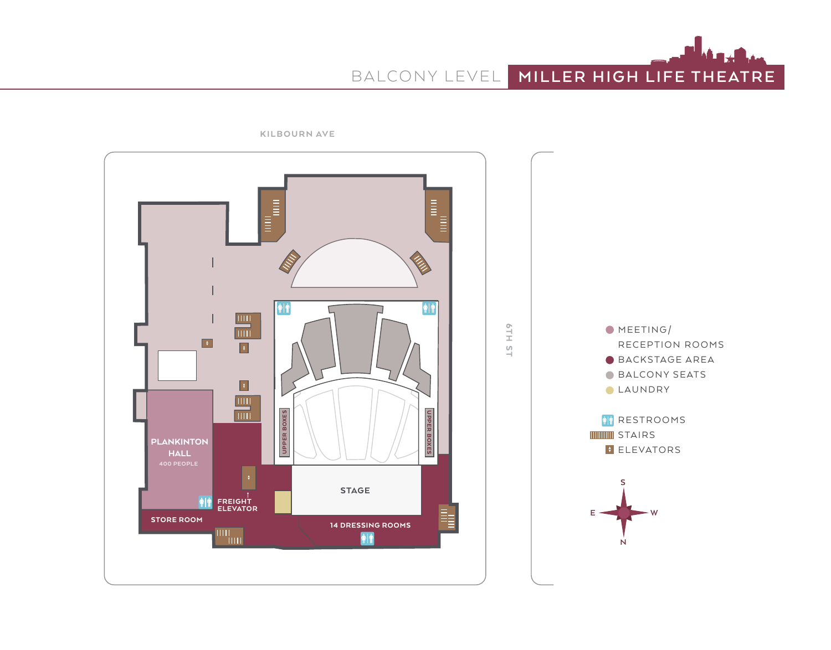BALCONY LEVEL **MILLER HIGH LIFE THEATRE**



KILBOURN AVE